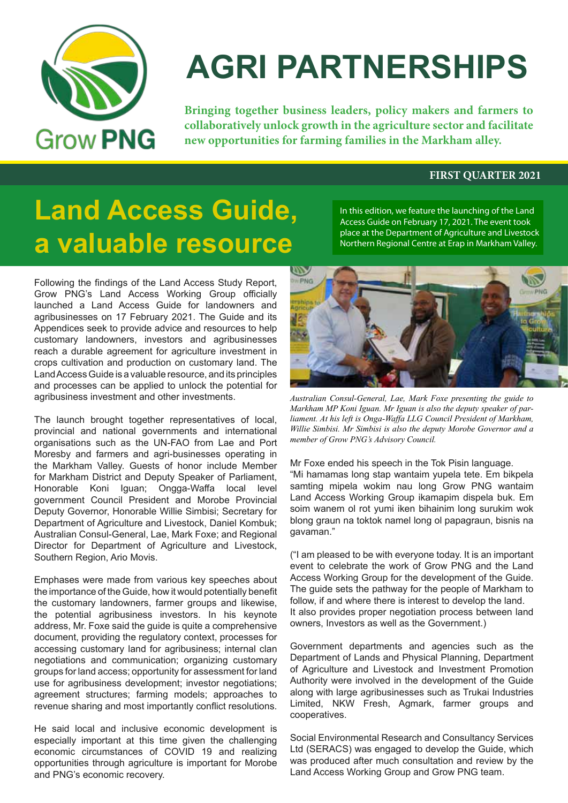

# **AGRI PARTNERSHIPS**

**Bringing together business leaders, policy makers and farmers to collaboratively unlock growth in the agriculture sector and facilitate new opportunities for farming families in the Markham alley.**

#### **FIRST QUARTER 2021**

## **Land Access Guide, a valuable resource**

Following the findings of the Land Access Study Report, Grow PNG's Land Access Working Group officially launched a Land Access Guide for landowners and agribusinesses on 17 February 2021. The Guide and its Appendices seek to provide advice and resources to help customary landowners, investors and agribusinesses reach a durable agreement for agriculture investment in crops cultivation and production on customary land. The Land Access Guide is a valuable resource, and its principles and processes can be applied to unlock the potential for agribusiness investment and other investments.

The launch brought together representatives of local, provincial and national governments and international organisations such as the UN-FAO from Lae and Port Moresby and farmers and agri-businesses operating in the Markham Valley. Guests of honor include Member for Markham District and Deputy Speaker of Parliament, Honorable Koni Iguan; Ongga-Waffa local level government Council President and Morobe Provincial Deputy Governor, Honorable Willie Simbisi; Secretary for Department of Agriculture and Livestock, Daniel Kombuk; Australian Consul-General, Lae, Mark Foxe; and Regional Director for Department of Agriculture and Livestock, Southern Region, Ario Movis.

Emphases were made from various key speeches about the importance of the Guide, how it would potentially benefit the customary landowners, farmer groups and likewise, the potential agribusiness investors. In his keynote address, Mr. Foxe said the guide is quite a comprehensive document, providing the regulatory context, processes for accessing customary land for agribusiness; internal clan negotiations and communication; organizing customary groups for land access; opportunity for assessment for land use for agribusiness development; investor negotiations; agreement structures; farming models; approaches to revenue sharing and most importantly conflict resolutions.

He said local and inclusive economic development is especially important at this time given the challenging economic circumstances of COVID 19 and realizing opportunities through agriculture is important for Morobe and PNG's economic recovery.



In this edition, we feature the launching of the Land Access Guide on February 17, 2021. The event took place at the Department of Agriculture and Livestock Northern Regional Centre at Erap in Markham Valley.

*Australian Consul-General, Lae, Mark Foxe presenting the guide to Markham MP Koni Iguan. Mr Iguan is also the deputy speaker of parliament. At his left is Onga-Waffa LLG Council President of Markham, Willie Simbisi. Mr Simbisi is also the deputy Morobe Governor and a member of Grow PNG's Advisory Council.*

Mr Foxe ended his speech in the Tok Pisin language. "Mi hamamas long stap wantaim yupela tete. Em bikpela samting mipela wokim nau long Grow PNG wantaim Land Access Working Group ikamapim dispela buk. Em soim wanem ol rot yumi iken bihainim long surukim wok blong graun na toktok namel long ol papagraun, bisnis na gavaman."

("I am pleased to be with everyone today. It is an important event to celebrate the work of Grow PNG and the Land Access Working Group for the development of the Guide. The guide sets the pathway for the people of Markham to follow, if and where there is interest to develop the land. It also provides proper negotiation process between land owners, Investors as well as the Government.)

Government departments and agencies such as the Department of Lands and Physical Planning, Department of Agriculture and Livestock and Investment Promotion Authority were involved in the development of the Guide along with large agribusinesses such as Trukai Industries Limited, NKW Fresh, Agmark, farmer groups and cooperatives.

Social Environmental Research and Consultancy Services Ltd (SERACS) was engaged to develop the Guide, which was produced after much consultation and review by the Land Access Working Group and Grow PNG team.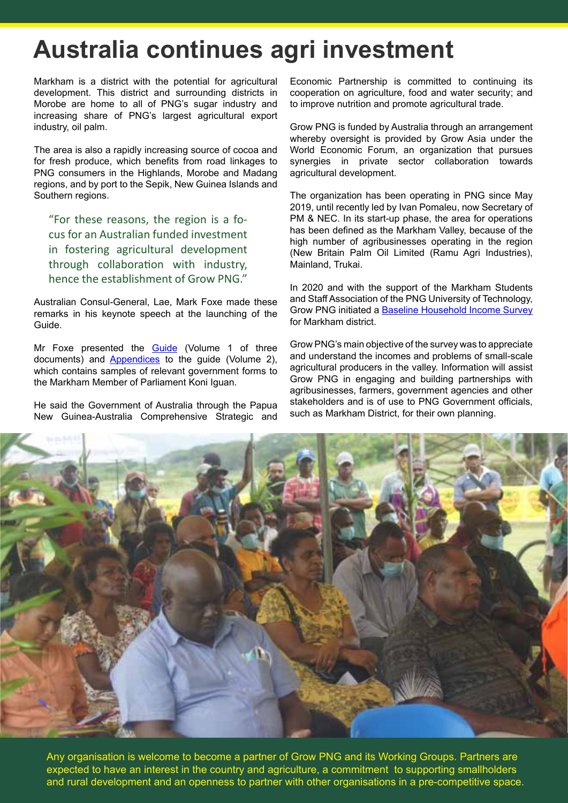### **Australia continues agri investment**

Markham is a district with the potential for agricultural development. This district and surrounding districts in Morobe are home to all of PNG's sugar industry and increasing share of PNG's largest agricultural export industry, oil palm.

The area is also a rapidly increasing source of cocoa and for fresh produce, which benefits from road linkages to PNG consumers in the Highlands, Morobe and Madang regions, and by port to the Sepik, New Guinea Islands and Southern regions.

"For these reasons, the region is a focus for an Australian funded investment in fostering agricultural development through collaboration with industry, hence the establishment of Grow PNG."

Australian Consul-General, Lae, Mark Foxe made these remarks in his keynote speech at the launching of the Guide.

Mr Foxe presented the **[Guide](https://6f5a1cff-33d1-4ed7-bc45-dc8e8fbcc26e.filesusr.com/ugd/e2a0bd_721a2eb0daf446fa945d715860578b30.pdf)** (Volume 1 of three documents) and [Appendices](https://6f5a1cff-33d1-4ed7-bc45-dc8e8fbcc26e.filesusr.com/ugd/e2a0bd_e03171574fc2430c890f8f59c92e86fe.pdf) to the guide (Volume 2), which contains samples of relevant government forms to the Markham Member of Parliament Koni Iguan.

He said the Government of Australia through the Papua New Guinea-Australia Comprehensive Strategic and Economic Partnership is committed to continuing its cooperation on agriculture, food and water security; and to improve nutrition and promote agricultural trade.

Grow PNG is funded by Australia through an arrangement whereby oversight is provided by Grow Asia under the World Economic Forum, an organization that pursues synergies in private sector collaboration towards agricultural development.

The organization has been operating in PNG since May 2019, until recently led by Ivan Pomaleu, now Secretary of PM & NEC. In its start-up phase, the area for operations has been defined as the Markham Valley, because of the high number of agribusinesses operating in the region (New Britain Palm Oil Limited (Ramu Agri Industries), Mainland, Trukai.

In 2020 and with the support of the Markham Students and Staff Association of the PNG University of Technology, Grow PNG initiated a [Baseline Household Income Survey](https://6f5a1cff-33d1-4ed7-bc45-dc8e8fbcc26e.filesusr.com/ugd/e2a0bd_e79ccf382eda49359c08e32da4f72446.pdf) for Markham district.

Grow PNG's main objective of the survey was to appreciate and understand the incomes and problems of small-scale agricultural producers in the valley. Information will assist Grow PNG in engaging and building partnerships with agribusinesses, farmers, government agencies and other stakeholders and is of use to PNG Government officials, such as Markham District, for their own planning.



Any organisation is welcome to become a partner of Grow PNG and its Working Groups. Partners are expected to have an interest in the country and agriculture, a commitment to supporting smallholders and rural development and an openness to partner with other organisations in a pre-competitive space.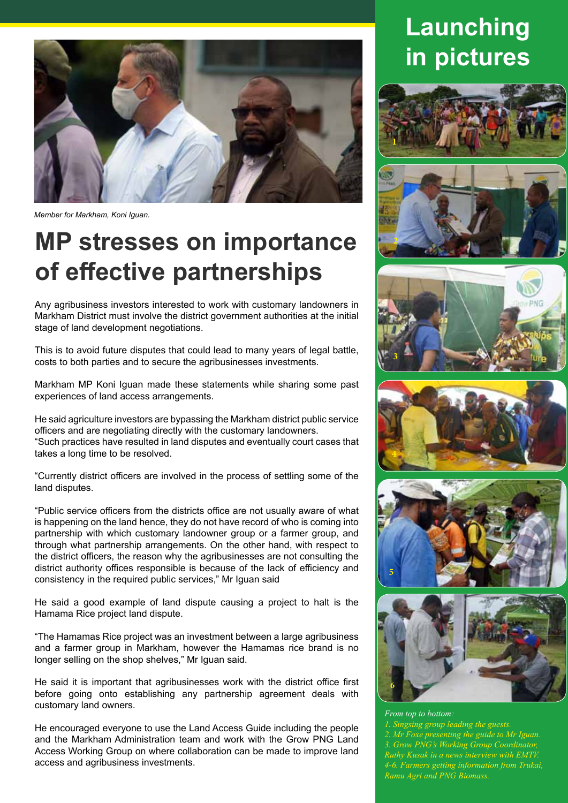

*Member for Markham, Koni Iguan.* 

### **MP stresses on importance of effective partnerships**

Any agribusiness investors interested to work with customary landowners in Markham District must involve the district government authorities at the initial stage of land development negotiations.

This is to avoid future disputes that could lead to many years of legal battle, costs to both parties and to secure the agribusinesses investments.

Markham MP Koni Iguan made these statements while sharing some past experiences of land access arrangements.

He said agriculture investors are bypassing the Markham district public service officers and are negotiating directly with the customary landowners. "Such practices have resulted in land disputes and eventually court cases that takes a long time to be resolved.

"Currently district officers are involved in the process of settling some of the land disputes.

"Public service officers from the districts office are not usually aware of what is happening on the land hence, they do not have record of who is coming into partnership with which customary landowner group or a farmer group, and through what partnership arrangements. On the other hand, with respect to the district officers, the reason why the agribusinesses are not consulting the district authority offices responsible is because of the lack of efficiency and consistency in the required public services," Mr Iguan said

He said a good example of land dispute causing a project to halt is the Hamama Rice project land dispute.

"The Hamamas Rice project was an investment between a large agribusiness and a farmer group in Markham, however the Hamamas rice brand is no longer selling on the shop shelves," Mr Iguan said.

He said it is important that agribusinesses work with the district office first before going onto establishing any partnership agreement deals with customary land owners.

He encouraged everyone to use the Land Access Guide including the people and the Markham Administration team and work with the Grow PNG Land Access Working Group on where collaboration can be made to improve land access and agribusiness investments.

### **Launching in pictures**













*From top to bottom: 1. Singsing group leading the guests. 2. Mr Foxe presenting the guide to Mr Iguan. 3. Grow PNG's Working Group Coordinator, Ruthy Kusak in a news interview with EMTV. 4-6. Farmers getting information from Trukai, Ramu Agri and PNG Biomass.*